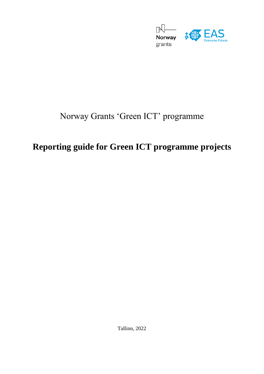

# Norway Grants 'Green ICT' programme

# **Reporting guide for Green ICT programme projects**

Tallinn, 2022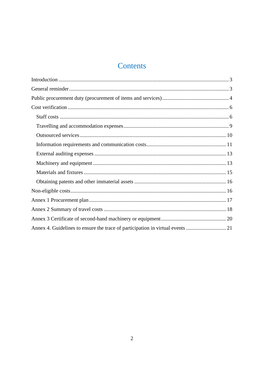## Contents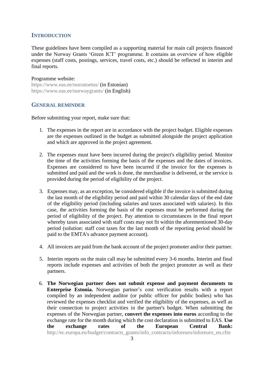#### <span id="page-2-0"></span>**INTRODUCTION**

These guidelines have been compiled as a supporting material for main call projects financed under the Norway Grants 'Green ICT' programme. It contains an overview of how eligible expenses (staff costs, postings, services, travel costs, etc.) should be reflected in interim and final reports.

#### Programme website:

<https://www.eas.ee/norratoetus/> (in Estonian) <https://www.eas.ee/norwaygrants/> (in English)

#### <span id="page-2-1"></span>**GENERAL REMINDER**

Before submitting your report, make sure that:

- 1. The expenses in the report are in accordance with the project budget. Eligible expenses are the expenses outlined in the budget as submitted alongside the project application and which are approved in the project agreement.
- 2. The expenses must have been incurred during the project's eligibility period. Monitor the time of the activities forming the basis of the expenses and the dates of invoices. Expenses are considered to have been incurred if the invoice for the expenses is submitted and paid and the work is done, the merchandise is delivered, or the service is provided during the period of eligibility of the project.
- 3. Expenses may, as an exception, be considered eligible if the invoice is submitted during the last month of the eligibility period and paid within 30 calendar days of the end date of the eligibility period (including salaries and taxes associated with salaries). In this case, the activities forming the basis of the expenses must be performed during the period of eligibility of the project. Pay attention to circumstances in the final report whereby taxes associated with staff costs may not fit within the aforementioned 30-day period (solution: staff cost taxes for the last month of the reporting period should be paid to the EMTA's advance payment account).
- 4. All invoices are paid from the bank account of the project promoter and/or their partner.
- 5. Interim reports on the main call may be submitted every 3-6 months. Interim and final reports include expenses and activities of both the project promoter as well as their partners.
- 6. **The Norwegian partner does not submit expense and payment documents to Enterprise Estonia.** Norwegian partner's cost verification results with a report compiled by an independent auditor (or public officer for public bodies) who has reviewed the expenses checklist and verified the eligibility of the expenses, as well as their connection to project activities in the partner's budget. When submitting the expenses of the Norwegian partner, **convert the expenses into euros** according to the exchange rate for the month during which the cost declaration is submitted to EAS. **Use the exchange rates of the European Central Bank:** [http://ec.europa.eu/budget/contracts\\_grants/info\\_contracts/inforeuro/inforeuro\\_en.cfm](http://ec.europa.eu/budget/contracts_grants/info_contracts/inforeuro/inforeuro_en.cfm)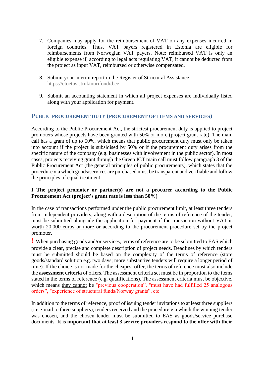- 7. Companies may apply for the reimbursement of VAT on any expenses incurred in foreign countries. Thus, VAT payers registered in Estonia are eligible for reimbursements from Norwegian VAT payers. Note: reimbursed VAT is only an eligible expense if, according to legal acts regulating VAT, it cannot be deducted from the project as input VAT, reimbursed or otherwise compensated.
- 8. Submit your interim report in the Register of Structural Assistance [https://etoetus.struktuurifondid.ee.](https://etoetus.struktuurifondid.ee/)
- 9. Submit an accounting statement in which all project expenses are individually listed along with your application for payment.

#### <span id="page-3-0"></span>**PUBLIC PROCUREMENT DUTY (PROCUREMENT OF ITEMS AND SERVICES)**

According to the Public Procurement Act, the strictest procurement duty is applied to project promoters whose projects have been granted with 50% or more (project grant rate). The main call has a grant of up to 50%, which means that public procurement duty must only be taken into account if the project is subsidised by 50% or if the procurement duty arises from the specific nature of the company (e.g. businesses with involvement in the public sector). In most cases, projects receiving grant through the Green ICT main call must follow paragraph 3 of the Public Procurement Act (the general principles of public procurements), which states that the procedure via which goods/services are purchased must be transparent and verifiable and follow the principles of equal treatment.

### **I The project promoter or partner(s) are not a procurer according to the Public Procurement Act (project's grant rate is less than 50%)**

In the case of transactions performed under the public procurement limit, at least three tenders from independent providers, along with a description of the terms of reference of the tender, must be submitted alongside the application for payment if the transaction without VAT is worth 20,000 euros or more or according to the procurement procedure set by the project promoter.

! When purchasing goods and/or services, terms of reference are to be submitted to EAS which provide a clear, precise and complete description of project needs. Deadlines by which tenders must be submitted should be based on the complexity of the terms of reference (store goods/standard solution e.g. two days; more substantive tenders will require a longer period of time). If the choice is not made for the cheapest offer, the terms of reference must also include the **assessment criteria** of offers. The assessment criteria set must be in proportion to the items stated in the terms of reference (e.g. qualifications). The assessment criteria must be objective, which means they cannot be "previous cooperation", "must have had fulfilled 25 analogous orders", "experience of structural funds/Norway grants", etc.

In addition to the terms of reference, proof of issuing tender invitations to at least three suppliers (i.e e-mail to three suppliers), tenders received and the procedure via which the winning tender was chosen, and the chosen tender must be submitted to EAS as goods/service purchase documents. **It is important that at least 3 service providers respond to the offer with their**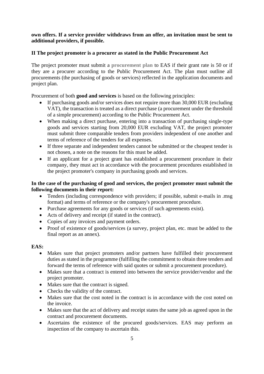## **own offers. If a service provider withdraws from an offer, an invitation must be sent to additional providers, if possible.**

## **II The project promoter is a procurer as stated in the Public Procurement Act**

The project promoter must submit a **[procurement plan](#page-16-0)** to EAS if their grant rate is 50 or if they are a procurer according to the Public Procurement Act. The plan must outline all procurements (the purchasing of goods or services) reflected in the application documents and project plan.

Procurement of both **good and services** is based on the following principles:

- If purchasing goods and/or services does not require more than 30,000 EUR (excluding VAT), the transaction is treated as a direct purchase (a procurement under the threshold of a simple procurement) according to the Public Procurement Act.
- When making a direct purchase, entering into a transaction of purchasing single-type goods and services starting from 20,000 EUR excluding VAT, the project promoter must submit three comparable tenders from providers independent of one another and terms of reference of the tenders for all expenses.
- If three separate and independent tenders cannot be submitted or the cheapest tender is not chosen, a note on the reasons for this must be added.
- If an applicant for a project grant has established a procurement procedure in their company, they must act in accordance with the procurement procedures established in the project promoter's company in purchasing goods and services.

## **In the case of the purchasing of good and services, the project promoter must submit the following documents in their report:**

- Tenders (including correspondence with providers; if possible, submit e-mails in .msg format) and terms of reference or the company's procurement procedure.
- Purchase agreements for any goods or services (if such agreements exist).
- Acts of delivery and receipt (if stated in the contract).
- Copies of any invoices and payment orders.
- Proof of existence of goods/services (a survey, project plan, etc. must be added to the final report as an annex).

## **EAS:**

- Makes sure that project promoters and/or partners have fulfilled their procurement duties as stated in the programme (fulfilling the commitment to obtain three tenders and forward the terms of reference with said quotes or submit a procurement procedure).
- Makes sure that a contract is entered into between the service provider/vendor and the project promoter.
- Makes sure that the contract is signed.
- Checks the validity of the contract.
- Makes sure that the cost noted in the contract is in accordance with the cost noted on the invoice.
- Makes sure that the act of delivery and receipt states the same job as agreed upon in the contract and procurement documents.
- Ascertains the existence of the procured goods/services. EAS may perform an inspection of the company to ascertain this.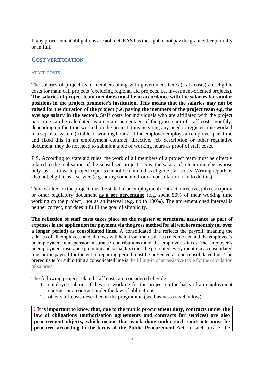If any procurement obligations are not met, EAS has the right to not pay the grant either partially or in full.

### <span id="page-5-0"></span>**COST VERIFICATION**

#### <span id="page-5-1"></span>**STAFF COSTS**

The salaries of project team members along with government taxes (staff costs) are eligible costs for main call projects (excluding regional aid projects, i.e. investment-oriented projects). **The salaries of project team members must be in accordance with the salaries for similar positions in the project promoter's institution. This means that the salaries may not be raised for the duration of the project (i.e. paying the members of the project team e.g. the average salary in the sector).** Staff costs for individuals who are affiliated with the project part-time can be calculated as a certain percentage of the gross sum of staff costs monthly, depending on the time worked on the project, thus negating any need to register time worked in a separate system (a table of working hours). If the employer employs an employee part-time and fixed this in an employment contract, directive, job description or other regulative document, they do not need to submit a table of working hours as proof of staff costs.

P.S. According to state aid rules, the work of all members of a project team must be directly related to the realisation of the subsidised project. Thus, the salary of a team member whose only task is to write project reports cannot be counted as eligible staff costs. Writing reports is also not eligible as a service (e.g. hiring someone from a consultation firm to do this).

Time worked on the project must be stated in an employment contract, directive, job description or other regulatory document **as a set percentage** (e.g. spent 50% of their working time working on the project), not as an interval (e.g. up to 100%). The aforementioned interval is neither correct, nor does it fulfil the goal of simplicity.

**The reflection of staff costs takes place on the register of structural assistance as part of expenses in the application for payment via the gross method for all workers monthly (or over a longer period) as consolidated lines.** A consolidated line reflects the payroll, meaning the salaries of all employees and all taxes withheld from their salaries (income tax and the employee's unemployment and pension insurance contributions) and the employer's taxes (the employer's unemployment insurance premium and social tax) must be presented every month in a consolidated line, or the payroll for the entire reporting period must be presented as one consolidated line. The prerequisite for submitting a consolidated line i[s the filling-in of an assistive table for the calculation](http://www.eas.ee/wp-content/uploads/2018/01/Palkade-abitabel.xlsx)  [of salaries.](http://www.eas.ee/wp-content/uploads/2018/01/Palkade-abitabel.xlsx)

The following project-related staff costs are considered eligible:

- 1. employee salaries if they are working for the project on the basis of an employment contract or a contract under the law of obligations;
- 2. other staff costs described in the programme (see business travel below).

**! It is important to know that, due to the public procurement duty, contracts under the law of obligations (authorisation agreements and contracts for services) are also procurement objects, which means that work done under such contracts must be procured according to the terms of the Public Procurement Act.** In such a case, the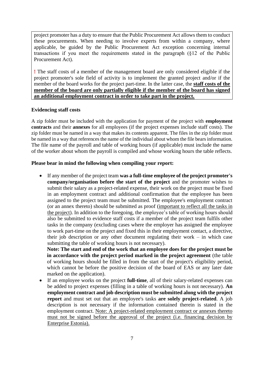project promoter has a duty to ensure that the Public Procurement Act allows them to conduct these procurements. When needing to involve experts from within a company, where applicable, be guided by the Public Procurement Act exception concerning internal transactions if you meet the requirements stated in the paragraph (§12 of the Public Procurement Act).

**!** The staff costs of a member of the management board are only considered eligible if the project promoter's sole field of activity is to implement the granted project and/or if the member of the board works for the project part-time. In the latter case, the **staff costs of the member of the board are only partially eligible if the member of the board has signed an additional employment contract in order to take part in the project.**

#### **Evidencing staff costs**

A zip folder must be included with the application for payment of the project with **employment contracts** and their **annexes** for all employees (if the project expenses include staff costs). The zip folder must be named in a way that makes its contents apparent. The files in the zip folder must be named in a way that references the name of the individual about whom the file bears information. The file name of the payroll and table of working hours (if applicable) must include the name of the worker about whom the payroll is compiled and whose working hours the table reflects.

### **Please bear in mind the following when compiling your report:**

• If any member of the project team **was a full-time employee of the project promoter's company/organisation before the start of the project** and the promoter wishes to submit their salary as a project-related expense, their work on the project must be fixed in an employment contract and additional confirmation that the employee has been assigned to the project team must be submitted. The employee's employment contract (or an annex thereto) should be submitted as proof (important to reflect all the tasks in the project). In addition to the foregoing, the employee's table of working hours should also be submitted to evidence staff costs if a member of the project team fulfils other tasks in the company (excluding cases where the employer has assigned the employee to work part-time on the project and fixed this in their employment contact, a directive, their job description or any other document regulating their work – in which case submitting the table of working hours is not necessary).

**Note: The start and end of the work that an employee does for the project must be in accordance with the project period marked in the project agreement** (the table of working hours should be filled in from the start of the project's eligibility period, which cannot be before the positive decision of the board of EAS or any later date marked on the application).

• If an employee works on the project **full-time**, all of their salary-related expenses can be added to project expenses (filling in a table of working hours is not necessary). **An employment contract and job description must be submitted along with the project report** and must set out that an employee's tasks **are solely project-related**. A job description is not necessary if the information contained therein is stated in the employment contract. Note: A project-related employment contract or annexes thereto must not be signed before the approval of the project (i.e. financing decision by Enterprise Estonia).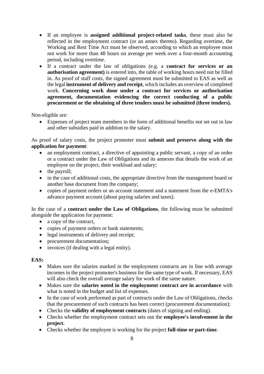- If an employee is **assigned additional project-related tasks**, these must also be reflected in the employment contract (or an annex thereto). Regarding overtime, the Working and Rest Time Act must be observed, according to which an employee must not work for more than 48 hours on average per week over a four-month accounting period, including overtime.
- If a contract under the law of obligations (e.g. a **contract for services or an authorisation agreement)** is entered into, the table of working hours need not be filled in. As proof of staff costs, the signed agreement must be submitted to EAS as well as the legal **instrument of delivery and receipt**, which includes an overview of completed work. **Concerning work done under a contract for services or authorisation agreement, documentation evidencing the correct conducting of a public procurement or the obtaining of three tenders must be submitted (three tenders).**

Non-eligible are:

• Expenses of project team members in the form of additional benefits not set out in law and other subsidies paid in addition to the salary.

As proof of salary costs, the project promoter must **submit and preserve along with the application for payment**:

- an employment contract, a directive of appointing a public servant, a copy of an order or a contract under the Law of Obligations and its annexes that details the work of an employee on the project, their workload and salary;
- the payroll;
- in the case of additional costs, the appropriate directive from the management board or another base document from the company;
- copies of payment orders or an account statement and a statement from the e-EMTA's advance payment account (about paying salaries and taxes).

In the case of a **contract under the Law of Obligations**, the following must be submitted alongside the application for payment:

- a copy of the contract,
- copies of payment orders or bank statements:
- legal instruments of delivery and receipt;
- procurement documentation**;**
- invoices (if dealing with a legal entity).

#### **EAS:**

- Makes sure the salaries marked in the employment contracts are in line with average incomes in the project promoter's business for the same type of work. If necessary, EAS will also check the overall average salary for work of the same nature.
- Makes sure the **salaries noted in the employment contract are in accordance** with what is noted in the budget and list of expenses.
- In the case of work performed as part of contracts under the Law of Obligations, checks that the procurement of such contracts has been correct (procurement documentation);
- Checks the **validity of employment contracts** (dates of signing and ending).
- Checks whether the employment contract sets out the **employee's involvement in the project**.
- Checks whether the employee is working for the project **full-time or part-time**.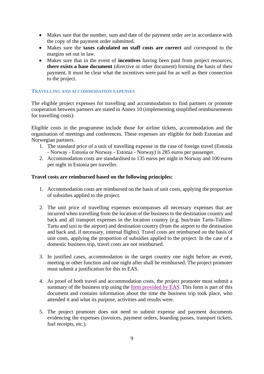- Makes sure that the number, sum and date of the payment order are in accordance with the copy of the payment order submitted.
- Makes sure the **taxes calculated on staff costs are correct** and correspond to the margins set out in law.
- Makes sure that in the event of **incentives** having been paid from project resources, **there exists a base document** (directive or other document) forming the basis of their payment. It must be clear what the incentives were paid for as well as their connection to the project.

#### <span id="page-8-0"></span>**TRAVELLING AND ACCOMMODATION EXPENSES**

The eligible project expenses for travelling and accommodation to find partners or promote cooperation between partners are stated in Annex 10 (implementing simplified reimbursements for travelling costs):

Eligible costs in the programme include those for airline tickets, accommodation and the organisation of meetings and conferences. These expenses are eligible for both Estonian and Norwegian partners.

- 1. The standard price of a unit of travelling expense in the case of foreign travel (Estonia - Norway - Estonia or Norway - Estonia - Norway) is 285 euros per passenger.
- 2. Accommodation costs are standardised to 135 euros per night in Norway and 100 euros per night in Estonia per traveller.

#### **Travel costs are reimbursed based on the following principles:**

- 1. Accommodation costs are reimbursed on the basis of unit costs, applying the proportion of subsidies applied to the project.
- 2. The unit price of travelling expenses encompasses all necessary expenses that are incurred when travelling from the location of the business to the destination country and back and all transport expenses in the location country (e.g. bus/train Tartu-Tallinn-Tartu and taxi to the airport) and destination country (from the airport to the destination and back and, if necessary, internal flights). Travel costs are reimbursed on the basis of unit costs, applying the proportion of subsidies applied to the project. In the case of a domestic business trip, travel costs are not reimbursed.
- 3. In justified cases, accommodation in the target country one night before an event, meeting or other function and one night after shall be reimbursed. The project promoter must submit a justification for this to EAS.
- 4. As proof of both travel and accommodation costs, the project promoter must submit a summary of the business trip using the [form provided by EAS.](#page-17-0) This form is part of this document and contains information about the time the business trip took place, who attended it and what its purpose, activities and results were.
- 5. The project promoter does not need to submit expense and payment documents evidencing the expenses (invoices, payment orders, boarding passes, transport tickets, fuel receipts, etc.).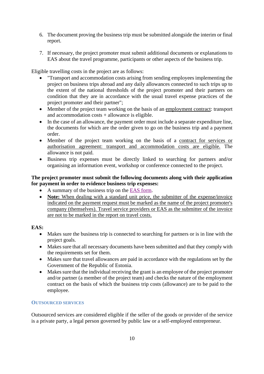- 6. The document proving the business trip must be submitted alongside the interim or final report.
- 7. If necessary, the project promoter must submit additional documents or explanations to EAS about the travel programme, participants or other aspects of the business trip.

Eligible travelling costs in the project are as follows:

- "Transport and accommodation costs arising from sending employees implementing the project on business trips abroad and any daily allowances connected to such trips up to the extent of the national thresholds of the project promoter and their partners on condition that they are in accordance with the usual travel expense practices of the project promoter and their partner";
- Member of the project team working on the basis of an employment contract: transport and accommodation costs + allowance is eligible.
- In the case of an allowance, the payment order must include a separate expenditure line, the documents for which are the order given to go on the business trip and a payment order.
- Member of the project team working on the basis of a contract for services or authorisation agreement: transport and accommodation costs are eligible. The allowance is not paid.
- Business trip expenses must be directly linked to searching for partners and/or organising an information event, workshop or conference connected to the project.

## **The project promoter must submit the following documents along with their application for payment in order to evidence business trip expenses:**

- A summary of the business trip on the [EAS form.](#page-17-0)
- **Note:** When dealing with a standard unit price, the submitter of the expense/invoice indicated on the payment request must be marked as the name of the project promoter's company (themselves). Travel service providers or EAS as the submitter of the invoice are not to be marked in the report on travel costs.

## **EAS:**

- Makes sure the business trip is connected to searching for partners or is in line with the project goals.
- Makes sure that all necessary documents have been submitted and that they comply with the requirements set for them.
- Makes sure that travel allowances are paid in accordance with the regulations set by the Government of the Republic of Estonia.
- Makes sure that the individual receiving the grant is an employee of the project promoter and/or partner (a member of the project team) and checks the nature of the employment contract on the basis of which the business trip costs (allowance) are to be paid to the employee.

#### <span id="page-9-0"></span>**OUTSOURCED SERVICES**

Outsourced services are considered eligible if the seller of the goods or provider of the service is a private party, a legal person governed by public law or a self-employed entrepreneur.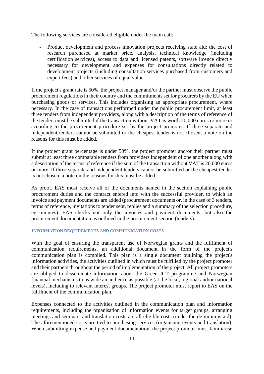The following services are considered eligible under the main call:

Product development and process innovation projects receiving state aid: the cost of research purchased at market price, analysis, technical knowledge (including certification services), access to data and licensed patents, software licence directly necessary for development and expenses for consultations directly related to development projects (including consultation services purchased from customers and expert fees) and other services of equal value.

If the project's grant rate is 50%, the project manager and/or the partner must observe the public procurement regulations in their country and the commitments set for procurers by the EU when purchasing goods or services. This includes organising an appropriate procurement, where necessary. In the case of transactions performed under the public procurement limit, at least three tenders from independent providers, along with a description of the terms of reference of the tender, must be submitted if the transaction without VAT is worth 20,000 euros or more or according to the procurement procedure set by the project promoter. If three separate and independent tenders cannot be submitted or the cheapest tender is not chosen, a note on the reasons for this must be added.

If the project grant percentage is under 50%, the project promoter and/or their partner must submit at least three comparable tenders from providers independent of one another along with a description of the terms of reference if the sum of the transaction without VAT is 20,000 euros or more. If three separate and independent tenders cannot be submitted or the cheapest tender is not chosen, a note on the reasons for this must be added.

As proof, EAS must receive all of the documents named in the section explaining public procurement duties and the contract entered into with the successful provider, to which an invoice and payment documents are added (procurement documents or, in the case of 3 tenders, terms of reference, invitations to tender sent, replies and a summary of the selection procedure, eg minutes). EAS checks not only the invoices and payment documents, but also the procurement documentation as outlined in the procurement section (tenders).

#### <span id="page-10-0"></span>**INFORMATION REQUIREMENTS AND COMMUNICATION COSTS**

With the goal of ensuring the transparent use of Norwegian grants and the fulfilment of communication requirements, an additional document in the form of the project's communication plan is compiled. This plan is a single document outlining the project's information activities, the activities outlined in which must be fulfilled by the project promoter and their partners throughout the period of implementation of the project. All project promoters are obliged to disseminate information about the Green ICT programme and Norwegian financial mechanisms to as wide an audience as possible (at the local, regional and/or national levels), including to relevant interest groups. The project promoter must report to EAS on the fulfilment of the communication plan.

Expenses connected to the activities outlined in the communication plan and information requirements, including the organisation of information events for target groups, arranging meetings and seminars and translation costs are all eligible costs (under the de minimis aid). The aforementioned costs are tied to purchasing services (organising events and translation). When submitting expense and payment documentation, the project promoter must familiarise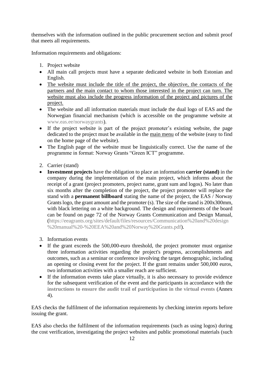themselves with the information outlined in the public procurement section and submit proof that meets all requirements.

Information requirements and obligations:

- 1. Project website
- All main call projects must have a separate dedicated website in both Estonian and English.
- The website must include the title of the project, the objective, the contacts of the partners and the main contact to whom those interested in the project can turn. The website must also include the progress information of the project and pictures of the project.
- The website and all information materials must include the dual logo of EAS and the Norwegian financial mechanism (which is accessible on the programme website at [www.eas.ee/norwaygrants\)](http://www.eas.ee/norwaygrants).
- If the project website is part of the project promoter's existing website, the page dedicated to the project must be available in the main menu of the website (easy to find on the home page of the website).
- The English page of the website must be linguistically correct. Use the name of the programme in format: Norway Grants "Green ICT" programme.
- 2. Carrier (stand)
- **Investment projects** have the obligation to place an information **carrier (stand)** in the company during the implementation of the main project, which informs about the receipt of a grant (project promoters, project name, grant sum and logos). No later than six months after the completion of the project, the project promoter will replace the stand with a **permanent billboard** stating the name of the project, the EAS / Norway Grants logo, the grant amount and the promoter (s). The size of the stand is 200x300mm, with black lettering on a white background. The design and requirements of the board can be found on page 72 of the Norway Grants Communication and Design Manual, [\(https://eeagrants.org/sites/default/files/resources/Communication%20and%20design](https://eeagrants.org/sites/default/files/resources/Communication%20and%20design%20manual%20-%20EEA%20and%20Norway%20Grants.pdf) [%20manual%20-%20EEA%20and%20Norway%20Grants.pdf\)](https://eeagrants.org/sites/default/files/resources/Communication%20and%20design%20manual%20-%20EEA%20and%20Norway%20Grants.pdf).
- 3. Information events
- If the grant exceeds the 500,000-euro threshold, the project promoter must organise three information activities regarding the project's progress, accomplishments and outcomes, such as a seminar or conference involving the target demographic, including an opening or closing event for the project. If the grant remains under 500,000 euros, two information activities with a smaller reach are sufficient.
- If the information events take place virtually, it is also necessary to provide evidence for the subsequent verification of the event and the participants in accordance with the **[instructions to ensure the audit trail of participation in the virtual events](#page-20-0)** (Annex 4).

EAS checks the fulfilment of the information requirements by checking interim reports before issuing the grant.

EAS also checks the fulfilment of the information requirements (such as using logos) during the cost verification, investigating the project websites and public promotional materials (such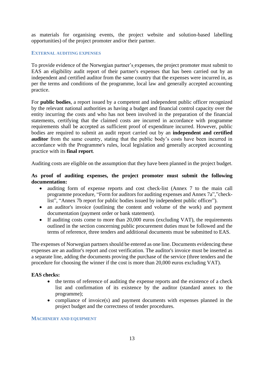as materials for organising events, the project website and solution-based labelling opportunities) of the project promoter and/or their partner.

#### <span id="page-12-0"></span>**EXTERNAL AUDITING EXPENSES**

To provide evidence of the Norwegian partner's expenses, the project promoter must submit to EAS an eligibility audit report of their partner's expenses that has been carried out by an independent and certified auditor from the same country that the expenses were incurred in, as per the terms and conditions of the programme, local law and generally accepted accounting practice.

For **public bodies**, a report issued by a competent and independent public officer recognized by the relevant national authorities as having a budget and financial control capacity over the entity incurring the costs and who has not been involved in the preparation of the financial statements, certifying that the claimed costs are incurred in accordance with programme requirements shall be accepted as sufficient proof of expenditure incurred. However, public bodies are required to submit an audit report carried out by an **independent and certified auditor** from the same country, stating that the public body's costs have been incurred in accordance with the Programme's rules, local legislation and generally accepted accounting practice with its **final report**.

Auditing costs are eligible on the assumption that they have been planned in the project budget.

## **As proof of auditing expenses, the project promoter must submit the following documentation:**

- auditing form of expense reports and cost check-list (Annex 7 to the main call programme procedure, "Form for auditors for auditing expenses and Annex 7a","checklist", "Annex 7b report for public bodies issued by independent public officer").
- an auditor's invoice (outlining the content and volume of the work) and payment documentation (payment order or bank statement).
- If auditing costs come to more than 20,000 euros (excluding VAT), the requirements outlined in the section concerning public procurement duties must be followed and the terms of reference, three tenders and additional documents must be submitted to EAS.

The expenses of Norwegian partners should be entered as one line. Documents evidencing these expenses are an auditor's report and cost verification. The auditor's invoice must be inserted as a separate line, adding the documents proving the purchase of the service (three tenders and the procedure for choosing the winner if the cost is more than 20,000 euros excluding VAT).

#### **EAS checks:**

- the terms of reference of auditing the expense reports and the existence of a check list and confirmation of its existence by the auditor (standard annex to the programme);
- compliance of invoice(s) and payment documents with expenses planned in the project budget and the correctness of tender procedures.

#### <span id="page-12-1"></span>**MACHINERY AND EQUIPMENT**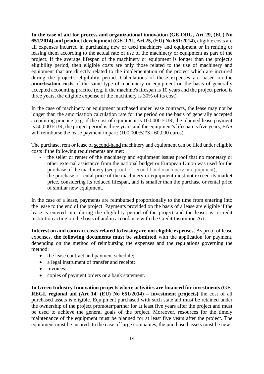**In the case of aid for process and organizational innovation (GE-ORG, Art 29, (EU) No 651/2014) and product development (GE-TAI, Art 25, (EU) No 651/2014),** eligible costs are all expenses incurred in purchasing new or used machinery and equipment or in renting or leasing them according to the actual rate of use of the machinery or equipment as part of the project. If the average lifespan of the machinery or equipment is longer than the project's eligibility period, then eligible costs are only those related to the use of machinery and equipment that are directly related to the implementation of the project which are incurred during the project's eligibility period. Calculations of these expenses are based on the **amortisation costs** of the same type of machinery or equipment on the basis of generally accepted accounting practice (e.g. if the machine's lifespan is 10 years and the project period is three years, the eligible expense of the machinery is 30% of its cost).

In the case of machinery or equipment purchased under lease contracts, the lease may not be longer than the amortisation calculation rate for the period on the basis of generally accepted accounting practice (e.g. if the cost of equipment is 100,000 EUR, the planned lease payment is 50,000 EUR, the project period is three years and the equipment's lifespan is five years, EAS will reimburse the lease payment in part:  $(100,000:5)*3=60,000$  euros).

The purchase, rent or lease of second-hand machinery and equipment can be filed under eligible costs if the following requirements are met:

- the seller or renter of the machinery and equipment issues proof that no monetary or other external assistance from the national budget or European Union was used for the purchase of the machinery (see proof of second-hand [machinery or equipment\)](#page-19-1);
- the purchase or rental price of the machinery or equipment must not exceed its market price, considering its reduced lifespan, and is smaller than the purchase or rental price of similar new equipment.

In the case of a lease, payments are reimbursed proportionally to the time from entering into the lease to the end of the project. Payments provided on the basis of a lease are eligible if the lease is entered into during the eligibility period of the project and the leaser is a credit institution acting on the basis of and in accordance with the Credit Institution Act.

**Interest on and contract costs related to leasing are not eligible expenses**. As proof of lease expenses, **the following documents must be submitted** with the application for payment, depending on the method of reimbursing the expenses and the regulations governing the method:

- the lease contract and payment schedule;
- a legal instrument of transfer and receipt;
- invoices;
- copies of payment orders or a bank statement.

**In Green Industry Innovation projects where activities are financed for investments (GE-REGI, regional aid (Art 14, (EU) No 651/2014) – investment projects)** the cost of all purchased assets is eligible. Equipment purchased with such state aid must be retained under the ownership of the project promoter/partner for at least five years after the project and must be used to achieve the general goals of the project. Moreover, resources for the timely maintenance of the equipment must be planned for at least five years after the project. The equipment must be insured. In the case of large companies, the purchased assets must be new.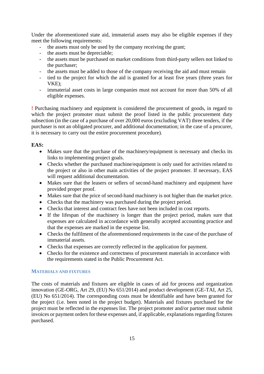Under the aforementioned state aid, immaterial assets may also be eligible expenses if they meet the following requirements:

- the assets must only be used by the company receiving the grant;
- the assets must be depreciable;
- the assets must be purchased on market conditions from third-party sellers not linked to the purchaser;
- the assets must be added to those of the company receiving the aid and must remain
- tied to the project for which the aid is granted for at least five years (three years for VKE);
- immaterial asset costs in large companies must not account for more than 50% of all eligible expenses.

**!** Purchasing machinery and equipment is considered the procurement of goods, in regard to which the project promoter must submit the proof listed in the public procurement duty subsection (in the case of a purchase of over 20,000 euros (excluding VAT) three tenders, if the purchaser is not an obligated procurer, and additional documentation; in the case of a procurer, it is necessary to carry out the entire procurement procedure).

### **EAS:**

- Makes sure that the purchase of the machinery/equipment is necessary and checks its links to implementing project goals.
- Checks whether the purchased machine/equipment is only used for activities related to the project or also in other main activities of the project promoter. If necessary, EAS will request additional documentation.
- Makes sure that the leasers or sellers of second-hand machinery and equipment have provided proper proof.
- Makes sure that the price of second-hand machinery is not higher than the market price.
- Checks that the machinery was purchased during the project period.
- Checks that interest and contract fees have not been included in cost reports.
- If the lifespan of the machinery is longer than the project period, makes sure that expenses are calculated in accordance with generally accepted accounting practice and that the expenses are marked in the expense list.
- Checks the fulfilment of the aforementioned requirements in the case of the purchase of immaterial assets.
- Checks that expenses are correctly reflected in the application for payment.
- Checks for the existence and correctness of procurement materials in accordance with the requirements stated in the Public Procurement Act.

#### <span id="page-14-0"></span>**MATERIALS AND FIXTURES**

The costs of materials and fixtures are eligible in cases of aid for process and organization innovation (GE-ORG, Art 29, (EU) No 651/2014) and product development (GE-TAI, Art 25, (EU) No 651/2014). The corresponding costs must be identifiable and have been granted for the project (i.e. been noted in the project budget). Materials and fixtures purchased for the project must be reflected in the expenses list. The project promoter and/or partner must submit invoices or payment orders for these expenses and, if applicable, explanations regarding fixtures purchased.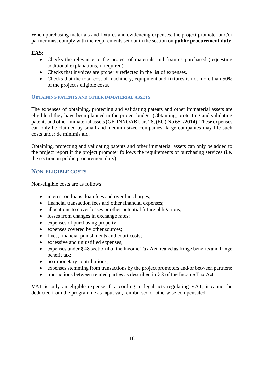When purchasing materials and fixtures and evidencing expenses, the project promoter and/or partner must comply with the requirements set out in the section on **public procurement duty**.

**EAS:**

- Checks the relevance to the project of materials and fixtures purchased (requesting additional explanations, if required).
- Checks that invoices are properly reflected in the list of expenses.
- Checks that the total cost of machinery, equipment and fixtures is not more than 50% of the project's eligible costs.

### <span id="page-15-0"></span>**OBTAINING PATENTS AND OTHER IMMATERIAL ASSETS**

The expenses of obtaining, protecting and validating patents and other immaterial assets are eligible if they have been planned in the project budget (Obtaining, protecting and validating patents and other immaterial assets (GE-INNOABI, art 28, (EU) No 651/2014). These expenses can only be claimed by small and medium-sized companies; large companies may file such costs under de minimis aid.

Obtaining, protecting and validating patents and other immaterial assets can only be added to the project report if the project promoter follows the requirements of purchasing services (i.e. the section on public procurement duty).

## <span id="page-15-1"></span>**NON-ELIGIBLE COSTS**

Non-eligible costs are as follows:

- interest on loans, loan fees and overdue charges;
- financial transaction fees and other financial expenses;
- allocations to cover losses or other potential future obligations;
- losses from changes in exchange rates;
- expenses of purchasing property;
- expenses covered by other sources;
- fines, financial punishments and court costs;
- excessive and unjustified expenses;
- expenses under § 48 section 4 of the Income Tax Act treated as fringe benefits and fringe benefit tax;
- non-monetary contributions;
- expenses stemming from transactions by the project promoters and/or between partners;
- transactions between related parties as described in  $\S 8$  of the Income Tax Act.

VAT is only an eligible expense if, according to legal acts regulating VAT, it cannot be deducted from the programme as input vat, reimbursed or otherwise compensated.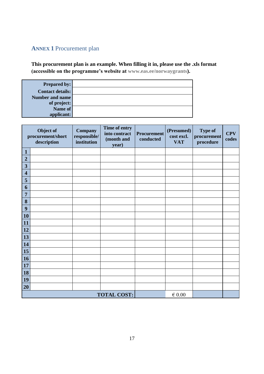## <span id="page-16-0"></span>**ANNEX 1** Procurement plan

**This procurement plan is an example. When filling it in, please use the .xls format (accessible on the programme's website at [www.eas.ee/norwaygrants\)](http://www.eas.ee/norwaygrants).**

| <b>Prepared by:</b>     |  |
|-------------------------|--|
| <b>Contact details:</b> |  |
| <b>Number and name</b>  |  |
| of project:             |  |
| Name of                 |  |
| applicant:              |  |

|                         | Object of<br>procurement/short<br>description | Company<br>responsible/<br>institution | Time of entry<br>into contract<br>(month and<br>year) | <b>Procurement</b><br>conducted | (Presumed)<br>cost excl.<br><b>VAT</b> | <b>Type of</b><br>procurement<br>procedure | <b>CPV</b><br>codes |
|-------------------------|-----------------------------------------------|----------------------------------------|-------------------------------------------------------|---------------------------------|----------------------------------------|--------------------------------------------|---------------------|
| $\mathbf{1}$            |                                               |                                        |                                                       |                                 |                                        |                                            |                     |
| $\overline{2}$          |                                               |                                        |                                                       |                                 |                                        |                                            |                     |
| 3                       |                                               |                                        |                                                       |                                 |                                        |                                            |                     |
| $\overline{\mathbf{4}}$ |                                               |                                        |                                                       |                                 |                                        |                                            |                     |
| 5                       |                                               |                                        |                                                       |                                 |                                        |                                            |                     |
| 6                       |                                               |                                        |                                                       |                                 |                                        |                                            |                     |
| 7                       |                                               |                                        |                                                       |                                 |                                        |                                            |                     |
| 8                       |                                               |                                        |                                                       |                                 |                                        |                                            |                     |
| 9                       |                                               |                                        |                                                       |                                 |                                        |                                            |                     |
| <b>10</b>               |                                               |                                        |                                                       |                                 |                                        |                                            |                     |
| <b>11</b>               |                                               |                                        |                                                       |                                 |                                        |                                            |                     |
| <b>12</b>               |                                               |                                        |                                                       |                                 |                                        |                                            |                     |
| 13                      |                                               |                                        |                                                       |                                 |                                        |                                            |                     |
| 14                      |                                               |                                        |                                                       |                                 |                                        |                                            |                     |
| 15                      |                                               |                                        |                                                       |                                 |                                        |                                            |                     |
| <b>16</b>               |                                               |                                        |                                                       |                                 |                                        |                                            |                     |
| <b>17</b>               |                                               |                                        |                                                       |                                 |                                        |                                            |                     |
| <b>18</b>               |                                               |                                        |                                                       |                                 |                                        |                                            |                     |
| <b>19</b>               |                                               |                                        |                                                       |                                 |                                        |                                            |                     |
| 20                      |                                               |                                        |                                                       |                                 |                                        |                                            |                     |
|                         | <b>TOTAL COST:</b><br>$\in 0.00$              |                                        |                                                       |                                 |                                        |                                            |                     |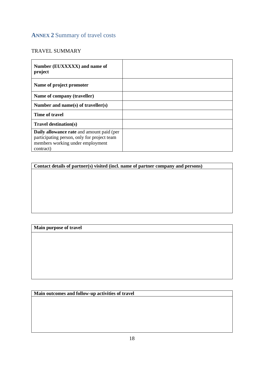## <span id="page-17-0"></span>**ANNEX 2** Summary of travel costs

## TRAVEL SUMMARY

| Number (EUXXXXX) and name of<br>project                                                                                                          |  |
|--------------------------------------------------------------------------------------------------------------------------------------------------|--|
| Name of project promoter                                                                                                                         |  |
| Name of company (traveller)                                                                                                                      |  |
| Number and name(s) of traveller(s)                                                                                                               |  |
| Time of travel                                                                                                                                   |  |
| <b>Travel destination(s)</b>                                                                                                                     |  |
| <b>Daily allowance rate</b> and amount paid (per<br>participating person, only for project team<br>members working under employment<br>contract) |  |

**Contact details of partner(s) visited (incl. name of partner company and persons)**

## **Main purpose of travel**

**Main outcomes and follow-up activities of travel**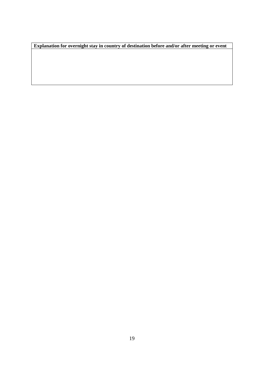**Explanation for overnight stay in country of destination before and/or after meeting or event**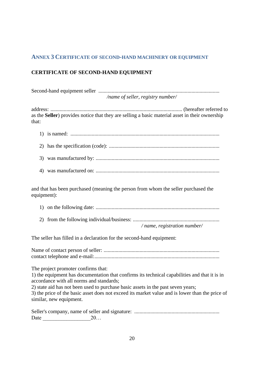## <span id="page-19-1"></span><span id="page-19-0"></span>**ANNEX 3 CERTIFICATE OF SECOND-HAND MACHINERY OR EQUIPMENT**

## **CERTIFICATE OF SECOND-HAND EQUIPMENT**

| /name of seller, registry number/ |
|-----------------------------------|

address: ................................................................................................... (hereafter referred to as the **Seller**) provides notice that they are selling a basic material asset in their ownership that:

4) was manufactured on: .............................................................................................

and that has been purchased (meaning the person from whom the seller purchased the equipment):

|--|--|--|

2) from the following individual/business: .................................................................

*/ name, registration number/*

The seller has filled in a declaration for the second-hand equipment:

Name of contact person of seller: ....................................................................................... contact telephone and e-mail:..............................................................................................

The project promoter confirms that:

1) the equipment has documentation that confirms its technical capabilities and that it is in accordance with all norms and standards;

2) state aid has not been used to purchase basic assets in the past seven years; 3) the price of the basic asset does not exceed its market value and is lower than the price of similar, new equipment.

| Date | 40. |  |
|------|-----|--|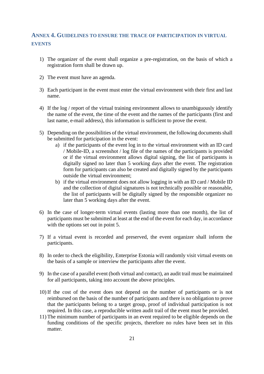## <span id="page-20-0"></span>**ANNEX 4. GUIDELINES TO ENSURE THE TRACE OF PARTICIPATION IN VIRTUAL EVENTS**

- 1) The organizer of the event shall organize a pre-registration, on the basis of which a registration form shall be drawn up.
- 2) The event must have an agenda.
- 3) Each participant in the event must enter the virtual environment with their first and last name.
- 4) If the log / report of the virtual training environment allows to unambiguously identify the name of the event, the time of the event and the names of the participants (first and last name, e-mail address), this information is sufficient to prove the event.
- 5) Depending on the possibilities of the virtual environment, the following documents shall be submitted for participation in the event:
	- a) if the participants of the event log in to the virtual environment with an ID card / Mobile-ID, a screenshot / log file of the names of the participants is provided or if the virtual environment allows digital signing, the list of participants is digitally signed no later than 5 working days after the event. The registration form for participants can also be created and digitally signed by the participants outside the virtual environment;
	- b) if the virtual environment does not allow logging in with an ID card / Mobile ID and the collection of digital signatures is not technically possible or reasonable, the list of participants will be digitally signed by the responsible organizer no later than 5 working days after the event.
- 6) In the case of longer-term virtual events (lasting more than one month), the list of participants must be submitted at least at the end of the event for each day, in accordance with the options set out in point 5.
- 7) If a virtual event is recorded and preserved, the event organizer shall inform the participants.
- 8) In order to check the eligibility, Enterprise Estonia will randomly visit virtual events on the basis of a sample or interview the participants after the event.
- 9) In the case of a parallel event (both virtual and contact), an audit trail must be maintained for all participants, taking into account the above principles.
- 10) If the cost of the event does not depend on the number of participants or is not reimbursed on the basis of the number of participants and there is no obligation to prove that the participants belong to a target group, proof of individual participation is not required. In this case, a reproducible written audit trail of the event must be provided.
- 11) The minimum number of participants in an event required to be eligible depends on the funding conditions of the specific projects, therefore no rules have been set in this matter.